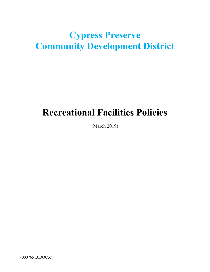# **Cypress Preserve Community Development District**

# **Recreational Facilities Policies**

(March 2019)

{00076513.DOCX/}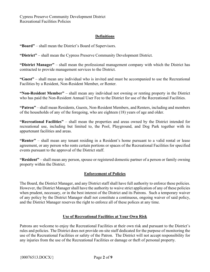# **Definitions**

**"Board"** – shall mean the District's Board of Supervisors.

**"District"** – shall mean the Cypress Preserve Community Development District.

**"District Manager"** – shall mean the professional management company with which the District has contracted to provide management services to the District.

**"Guest"** – shall mean any individual who is invited and must be accompanied to use the Recreational Facilities by a Resident, Non-Resident Member, or Renter.

**"Non-Resident Member"** – shall mean any individual not owning or renting property in the District who has paid the Non-Resident Annual User Fee to the District for use of the Recreational Facilities.

**"Patron"** – shall mean Residents, Guests, Non-Resident Members, and Renters, including and members of the households of any of the foregoing, who are eighteen (18) years of age and older.

**"Recreational Facilities"** – shall mean the properties and areas owned by the District intended for recreational use, including but limited to, the Pool, Playground, and Dog Park together with its appurtenant facilities and areas.

**"Renter"** – shall mean any tenant residing in a Resident's home pursuant to a valid rental or lease agreement, or any person who rents certain portions or spaces of the Recreational Facilities for specified events pursuant to the approval of the District staff.

**"Resident"** – shall mean any person, spouse or registered domestic partner of a person or family owning property within the District.

## **Enforcement of Policies**

The Board, the District Manager, and any District staff shall have full authority to enforce these policies. However, the District Manager shall have the authority to waive strict application of any of these policies when prudent, necessary, or in the best interest of the District and its Patrons. Such a temporary waiver of any policy by the District Manager shall not constitute a continuous, ongoing waiver of said policy, and the District Manager reserves the right to enforce all of these polices at any time.

## **Use of Recreational Facilities at Your Own Risk**

Patrons are welcome to enjoy the Recreational Facilities at their own risk and pursuant to the District's rules and policies. The District does not provide on-site staff dedicated for the purpose of monitoring the use of the Recreational Facilities or safety of the Patron. The District will not accept responsibility for any injuries from the use of the Recreational Facilities or damage or theft of personal property.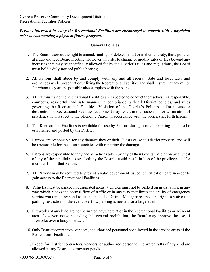# *Persons interested in using the Recreational Facilities are encouraged to consult with a physician prior to commencing a physical fitness program.*

## **General Policies**

- 1. The Board reserves the right to amend, modify, or delete, in part or in their entirety, these policies at a duly-noticed Board meeting, However, in order to change or modify rates or fees beyond any increases that may be specifically allowed for by the District's rules and regulations, the Board must hold a duly-noticed public hearing.
- 2. All Patrons shall abide by and comply with any and all federal, state and local laws and ordinances while present at or utilizing the Recreational Facilities and shall ensure that any minor for whom they are responsible also complies with the same.
- 3. All Patrons using the Recreational Facilities are expected to conduct themselves in a responsible, courteous, respectful, and safe manner, in compliance with all District policies, and rules governing the Recreational Facilities. Violation of the District's Policies and/or misuse or destruction of Recreational Facilities equipment may result in the suspension or termination of privileges with respect to the offending Patron in accordance with the policies set forth herein.
- 4. The Recreational Facilities is available for use by Patrons during normal operating hours to be established and posted by the District.
- 5. Patrons are responsible for any damage they or their Guests cause to District property and will be responsible for the costs associated with repairing the damage.
- 6. Patrons are responsible for any and all actions taken by any of their Guests. Violation by a Guest of any of these policies as set forth by the District could result in loss of the privileges and/or membership of that Patron.
- 7. All Patrons may be required to present a valid government issued identification card in order to gain access to the Recreational Facilities.
- 8. Vehicles must be parked in designated areas. Vehicles must not be parked on grass lawns, in any way which blocks the normal flow of traffic or in any way that limits the ability of emergency service workers to respond to situations. The District Manager reserves the right to waive this parking restriction in the event overflow parking is needed for a large event.
- 9. Fireworks of any kind are not permitted anywhere at or in the Recreational Facilities or adjacent areas; however, notwithstanding this general prohibition, the Board may approve the use of fireworks over a body of water.
- 10. Only District contractors, vendors, or authorized personnel are allowed in the service areas of the Recreational Facilities.
- 11. Except for District contractors, vendors, or authorized personnel, no watercrafts of any kind are allowed in any District stormwater ponds.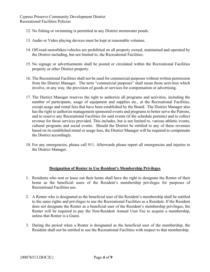Cypress Preserve Community Development District Recreational Facilities Policies

- 12. No fishing or swimming is permitted in any District stormwater ponds.
- 13. Audio or Video playing devices must be kept at reasonable volumes.
- 14. Off-road motorbikes/vehicles are prohibited on all property owned, maintained and operated by the District including, but not limited to, the Recreational Facilities.
- 15. No signage or advertisements shall be posted or circulated within the Recreational Facilities property or other District property.
- 16. The Recreational Facilities shall not be used for commercial purposes without written permission from the District Manager. The term "commercial purposes" shall mean those activities which involve, in any way, the provision of goods or services for compensation or advertising.
- 17. The District Manager reserves the right to authorize all programs and activities, including the number of participants, usage of equipment and supplies etc., at the Recreational Facilities, except usage and rental fees that have been established by the Board. The District Manager also has the right to authorize management sponsored events and programs to better serve the Patrons, and to reserve any Recreational Facilities for said events (if the schedule permits) and to collect revenue for those services provided. This includes, but is not limited to, various athletic events, cultural programs and social events. Should the District be entitled to any of these revenues based on its established rental or usage fees, the District Manager will be required to compensate the District accordingly.
- 18. For any emergencies, please call 911. Afterwards please report all emergencies and injuries to the District Manager.

## **Designation of Renter to Use Resident's Membership Privileges**

- 1. Residents who rent or lease out their home shall have the right to designate the Renter of their home as the beneficial users of the Resident's membership privileges for purposes of Recreational Facilities use.
- 2. A Renter who is designated as the beneficial user of the Resident's membership shall be entitled to the same rights and privileges to use the Recreational Facilities as a Resident. If the Resident does not designate the Renter as a beneficial user of the Resident's membership privileges, the Renter will be required to pay the Non-Resident Annual User Fee to acquire a membership, unless that Renter is a Guest.
- 3. During the period when a Renter is designated as the beneficial user of the membership, the Resident shall not be entitled to use the Recreational Facilities with respect to that membership.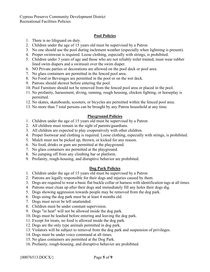# **Pool Policies**

- 1. There is no lifeguard on duty.
- 2. Children under the age of 15 years old must be supervised by a Patron
- 3. No one should use the pool during inclement weather (especially when lightning is present).
- 4. Proper swimwear is required. Loose clothing, especially with strings, is prohibited.
- 5. Children under 3 years of age and those who are not reliably toilet trained, must wear rubber lined swim diapers and a swimsuit over the swim diaper.
- 6. NO Private parties or decorations are allowed on the pool deck or pool area.
- 7. No glass containers are permitted in the fenced pool area.
- 8. No Food or Beverages are permitted in the pool or on the wet deck.
- 9. Patrons should shower before entering the pool.
- 10. Pool Furniture should not be removed from the fenced pool area or placed in the pool.
- 11. No profanity, harassment, diving, running, rough housing, chicken fighting, or horseplay is permitted.
- 12. No skates, skateboards, scooters, or bicycles are permitted within the fenced pool area.
- 13. No more than 7 total persons can be brought by any Patron household at any time.

# **Playground Policies**

- 1. Children under the age of 15 years old must be supervised by a Patron
- 2. All children must remain in the sight of parents/guardians.
- 3. All children are expected to play cooperatively with other children.
- 4. Proper footwear and clothing is required. Loose clothing, especially with strings, is prohibited.
- 5. Mulch must not be picked up, thrown, or kicked for any reason.
- 6. No food, drinks or gum are permitted at the playground.
- 7. No glass containers are permitted at the playground.
- 8. No jumping off from any climbing bar or platform.
- 9. Profanity, rough-housing, and disruptive behavior are prohibited.

# **Dog Park Policies**

- 1. Children under the age of 15 years old must be supervised by a Patron
- 2. Patrons are legally responsible for their dogs and injuries caused by them.
- 3. Dogs are required to wear a basic flat buckle collar or harness with identification tags at all times.
- 4. Patrons must clean up after their dogs and immediately fill any holes their dogs dig.
- 5. Dogs showing aggression towards people may be removed from the dog park.
- 6. Dogs using the dog park must be at least 4 months old.
- 7. Dogs must never be left unattended.
- 8. Children must be under constant supervision.
- 9. Dogs "in heat" will not be allowed inside the dog park.
- 10. Dogs must be leashed before entering and leaving the dog park.
- 11. Except for treats, no food is allowed inside the dog park.
- 12. Dogs are the only type animals permitted in dog park.
- 13. Violators will be subject to removal from the dog park and suspension of privileges.
- 14. Dogs must be under voice command at all times.
- 15. No glass containers are permitted at the Dog Park.
- 16. Profanity, rough-housing, and disruptive behavior are prohibited.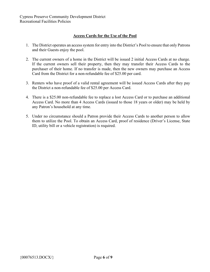Cypress Preserve Community Development District Recreational Facilities Policies

## **Access Cards for the Use of the Pool**

- 1. The District operates an access system for entry into the District's Pool to ensure that only Patrons and their Guests enjoy the pool.
- 2. The current owners of a home in the District will be issued 2 initial Access Cards at no charge. If the current owners sell their property, then they may transfer their Access Cards to the purchaser of their home. If no transfer is made, then the new owners may purchase an Access Card from the District for a non-refundable fee of \$25.00 per card.
- 3. Renters who have proof of a valid rental agreement will be issued Access Cards after they pay the District a non-refundable fee of \$25.00 per Access Card.
- 4. There is a \$25.00 non-refundable fee to replace a lost Access Card or to purchase an additional Access Card. No more than 4 Access Cards (issued to those 18 years or older) may be held by any Patron's household at any time.
- 5. Under no circumstance should a Patron provide their Access Cards to another person to allow them to utilize the Pool. To obtain an Access Card, proof of residence (Driver's License, State ID, utility bill or a vehicle registration) is required.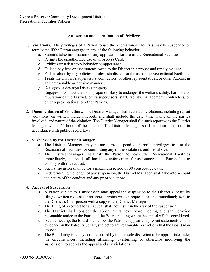Cypress Preserve Community Development District Recreational Facilities Policies

#### **Suspension and Termination of Privileges**

- 1. **Violations.** The privileges of a Patron to use the Recreational Facilities may be suspended or terminated if the Patron engages in any of the following behavior:
	- a. Submits false information on any application for use of the Recreational Facilities.
	- b. Permits the unauthorized use of an Access Card.
	- c. Exhibits unsatisfactory behavior or appearance.
	- d. Fails to pay fees or assessments owed to the District in a proper and timely manner.
	- e. Fails to abide by any policies or rules established for the use of the Recreational Facilities.
	- f. Treats the District's supervisors, contractors, or other representatives, or other Patrons, in an unreasonable or abusive manner.
	- g. Damages or destroys District property.
	- h. Engages in conduct that is improper or likely to endanger the welfare, safety, harmony or reputation of the District, or its supervisors, staff, facility management, contractors, or other representatives, or other Patrons.
- 2. **Documentation of Violations.** The District Manager shall record all violations, including repeat violations, on written incident reports and shall include the date, time, name of the parties involved, and nature of the violation. The District Manager shall file such report with the District Manager within 24 hours of the incident. The District Manager shall maintain all records in accordance with public record laws.

#### 3. **Suspension by the District Manager**

- a. The District Manager, may at any time suspend a Patron's privileges to use the Recreational Facilities for committing any of the violations outlined above.
- b. The District Manager shall ask the Patron to leave the Recreational Facilities immediately, and shall call local law enforcement for assistance if the Patron fails to comply with the request.
- c. Such suspension shall be for a maximum period of 30 consecutive days.
- d. In determining the length of any suspension, the District Manager, shall take into account the nature of the conduct and any prior violations.

#### 4. **Appeal of Suspension**

- a. A Patron subject to a suspension may appeal the suspension to the District's Board by filing a written request for an appeal, which written request shall be immediately sent to the District's Chairperson with a copy to the District Manager.
- b. The filing of a request for an appeal shall not result in the stay of the suspension.
- c. The District shall consider the appeal at its next Board meeting and shall provide reasonable notice to the Patron of the Board meeting where the appeal will be considered.
- d. At that meeting, the Board shall allow the Patron to appear and present statements and/or evidence on the Patron's behalf, subject to any reasonable restrictions that the Board may impose.
- e. The Board may take any action deemed by it in its sole discretion to be appropriate under the circumstances, including affirming, overturning or otherwise modifying the suspension, to address the appeal and any violations.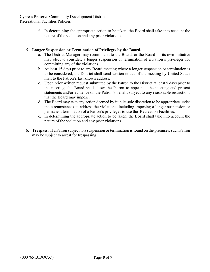Cypress Preserve Community Development District Recreational Facilities Policies

> f. In determining the appropriate action to be taken, the Board shall take into account the nature of the violation and any prior violations.

#### 5. **Longer Suspension or Termination of Privileges by the Board.**

- a. The District Manager may recommend to the Board, or the Board on its own initiative may elect to consider, a longer suspension or termination of a Patron's privileges for committing any of the violations.
- b. At least 15 days prior to any Board meeting where a longer suspension or termination is to be considered, the District shall send written notice of the meeting by United States mail to the Patron's last known address.
- c. Upon prior written request submitted by the Patron to the District at least 5 days prior to the meeting, the Board shall allow the Patron to appear at the meeting and present statements and/or evidence on the Patron's behalf, subject to any reasonable restrictions that the Board may impose.
- d. The Board may take any action deemed by it in its sole discretion to be appropriate under the circumstances to address the violations, including imposing a longer suspension or permanent termination of a Patron's privileges to use the Recreation Facilities.
- e. In determining the appropriate action to be taken, the Board shall take into account the nature of the violation and any prior violations.
- 6. **Trespass.** If a Patron subject to a suspension or termination is found on the premises, such Patron may be subject to arrest for trespassing.